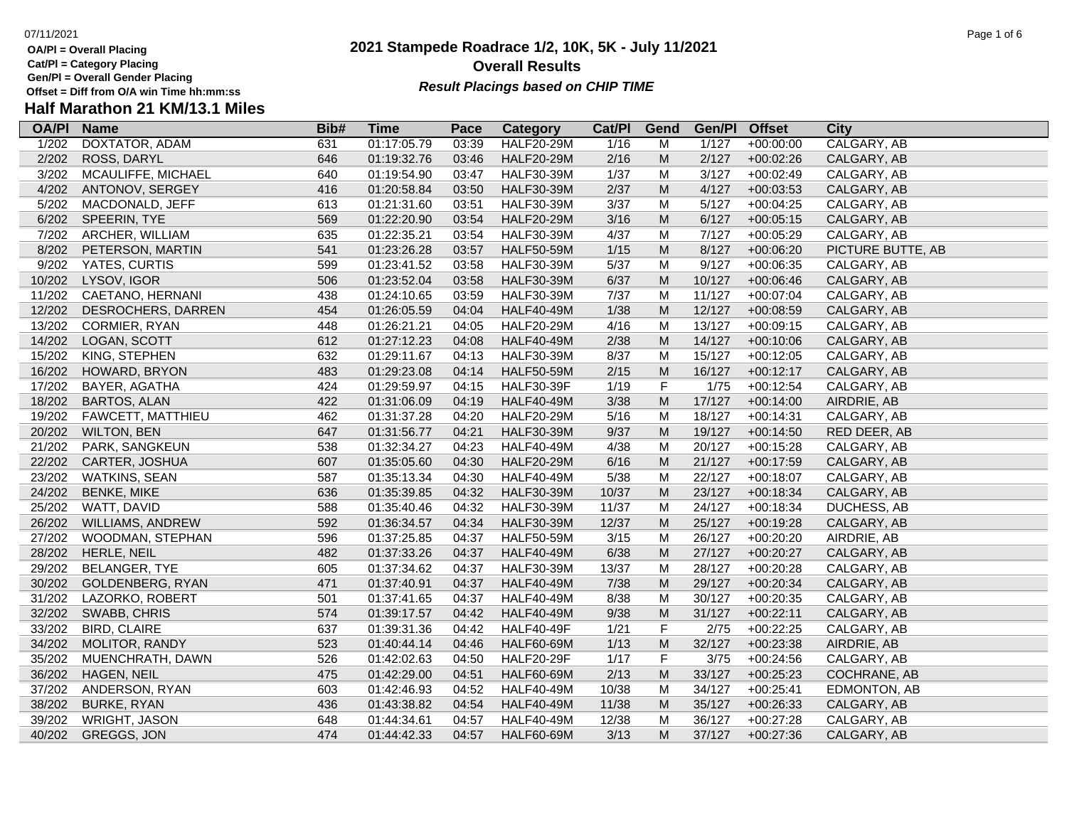- **OA/Pl = Overall Placing Cat/Pl = Category Placing**
- **Gen/Pl = Overall Gender Placing**
- 

### **2021 Stampede Roadrace 1/2, 10K, 5K - July 11/2021** 07/11/2021 Page 1 of 6 **Overall Results** Gen/PI = Overall Gender Placing<br>Offset = Diff from O/A win Time hh:mm:ss *Result Placings based on CHIP TIME*

| <b>OA/PI</b> | <b>Name</b>             | Bib# | <b>Time</b> | Pace  | <b>Category</b>   | Cat/PI | Gend      | Gen/Pl | <b>Offset</b> | <b>City</b>       |
|--------------|-------------------------|------|-------------|-------|-------------------|--------|-----------|--------|---------------|-------------------|
| 1/202        | <b>DOXTATOR, ADAM</b>   | 631  | 01:17:05.79 | 03:39 | <b>HALF20-29M</b> | 1/16   | M         | 1/127  | $+00:00:00$   | CALGARY, AB       |
| 2/202        | ROSS, DARYL             | 646  | 01:19:32.76 | 03:46 | <b>HALF20-29M</b> | 2/16   | M         | 2/127  | $+00:02:26$   | CALGARY, AB       |
| 3/202        | MCAULIFFE, MICHAEL      | 640  | 01:19:54.90 | 03:47 | HALF30-39M        | 1/37   | M         | 3/127  | $+00:02:49$   | CALGARY, AB       |
| 4/202        | ANTONOV, SERGEY         | 416  | 01:20:58.84 | 03:50 | <b>HALF30-39M</b> | 2/37   | ${\sf M}$ | 4/127  | $+00:03:53$   | CALGARY, AB       |
| 5/202        | MACDONALD, JEFF         | 613  | 01:21:31.60 | 03:51 | HALF30-39M        | 3/37   | M         | 5/127  | $+00:04:25$   | CALGARY, AB       |
| 6/202        | SPEERIN, TYE            | 569  | 01:22:20.90 | 03:54 | <b>HALF20-29M</b> | 3/16   | ${\sf M}$ | 6/127  | $+00:05:15$   | CALGARY, AB       |
| 7/202        | ARCHER, WILLIAM         | 635  | 01:22:35.21 | 03:54 | <b>HALF30-39M</b> | 4/37   | M         | 7/127  | $+00:05:29$   | CALGARY, AB       |
| 8/202        | PETERSON, MARTIN        | 541  | 01:23:26.28 | 03:57 | <b>HALF50-59M</b> | $1/15$ | ${\sf M}$ | 8/127  | $+00:06:20$   | PICTURE BUTTE, AB |
| 9/202        | YATES, CURTIS           | 599  | 01:23:41.52 | 03:58 | <b>HALF30-39M</b> | 5/37   | M         | 9/127  | $+00:06:35$   | CALGARY, AB       |
| 10/202       | LYSOV, IGOR             | 506  | 01:23:52.04 | 03:58 | <b>HALF30-39M</b> | 6/37   | ${\sf M}$ | 10/127 | $+00:06:46$   | CALGARY, AB       |
| 11/202       | CAETANO, HERNANI        | 438  | 01:24:10.65 | 03:59 | <b>HALF30-39M</b> | 7/37   | M         | 11/127 | $+00:07:04$   | CALGARY, AB       |
| 12/202       | DESROCHERS, DARREN      | 454  | 01:26:05.59 | 04:04 | <b>HALF40-49M</b> | 1/38   | ${\sf M}$ | 12/127 | $+00:08:59$   | CALGARY, AB       |
| 13/202       | CORMIER, RYAN           | 448  | 01:26:21.21 | 04:05 | <b>HALF20-29M</b> | 4/16   | M         | 13/127 | $+00:09:15$   | CALGARY, AB       |
| 14/202       | LOGAN, SCOTT            | 612  | 01:27:12.23 | 04:08 | <b>HALF40-49M</b> | 2/38   | ${\sf M}$ | 14/127 | $+00:10:06$   | CALGARY, AB       |
| 15/202       | KING, STEPHEN           | 632  | 01:29:11.67 | 04:13 | <b>HALF30-39M</b> | 8/37   | M         | 15/127 | $+00:12:05$   | CALGARY, AB       |
| 16/202       | HOWARD, BRYON           | 483  | 01:29:23.08 | 04:14 | <b>HALF50-59M</b> | 2/15   | M         | 16/127 | $+00:12:17$   | CALGARY, AB       |
| 17/202       | BAYER, AGATHA           | 424  | 01:29:59.97 | 04:15 | <b>HALF30-39F</b> | 1/19   | F         | 1/75   | $+00:12:54$   | CALGARY, AB       |
| 18/202       | <b>BARTOS, ALAN</b>     | 422  | 01:31:06.09 | 04:19 | <b>HALF40-49M</b> | 3/38   | ${\sf M}$ | 17/127 | $+00:14:00$   | AIRDRIE, AB       |
| 19/202       | FAWCETT, MATTHIEU       | 462  | 01:31:37.28 | 04:20 | <b>HALF20-29M</b> | 5/16   | M         | 18/127 | $+00:14:31$   | CALGARY, AB       |
| 20/202       | <b>WILTON, BEN</b>      | 647  | 01:31:56.77 | 04:21 | <b>HALF30-39M</b> | 9/37   | ${\sf M}$ | 19/127 | $+00:14:50$   | RED DEER, AB      |
| 21/202       | PARK, SANGKEUN          | 538  | 01:32:34.27 | 04:23 | <b>HALF40-49M</b> | 4/38   | M         | 20/127 | $+00:15:28$   | CALGARY, AB       |
| 22/202       | CARTER, JOSHUA          | 607  | 01:35:05.60 | 04:30 | <b>HALF20-29M</b> | 6/16   | ${\sf M}$ | 21/127 | $+00:17:59$   | CALGARY, AB       |
| 23/202       | <b>WATKINS, SEAN</b>    | 587  | 01:35:13.34 | 04:30 | <b>HALF40-49M</b> | 5/38   | M         | 22/127 | $+00:18:07$   | CALGARY, AB       |
| 24/202       | <b>BENKE, MIKE</b>      | 636  | 01:35:39.85 | 04:32 | <b>HALF30-39M</b> | 10/37  | ${\sf M}$ | 23/127 | $+00:18:34$   | CALGARY, AB       |
| 25/202       | WATT, DAVID             | 588  | 01:35:40.46 | 04:32 | <b>HALF30-39M</b> | 11/37  | M         | 24/127 | $+00:18:34$   | DUCHESS, AB       |
| 26/202       | <b>WILLIAMS, ANDREW</b> | 592  | 01:36:34.57 | 04:34 | <b>HALF30-39M</b> | 12/37  | ${\sf M}$ | 25/127 | $+00:19:28$   | CALGARY, AB       |
| 27/202       | WOODMAN, STEPHAN        | 596  | 01:37:25.85 | 04:37 | <b>HALF50-59M</b> | 3/15   | M         | 26/127 | $+00:20:20$   | AIRDRIE, AB       |
| 28/202       | HERLE, NEIL             | 482  | 01:37:33.26 | 04:37 | <b>HALF40-49M</b> | 6/38   | ${\sf M}$ | 27/127 | $+00:20:27$   | CALGARY, AB       |
| 29/202       | <b>BELANGER, TYE</b>    | 605  | 01:37:34.62 | 04:37 | <b>HALF30-39M</b> | 13/37  | M         | 28/127 | $+00:20:28$   | CALGARY, AB       |
| 30/202       | GOLDENBERG, RYAN        | 471  | 01:37:40.91 | 04:37 | <b>HALF40-49M</b> | $7/38$ | ${\sf M}$ | 29/127 | $+00:20:34$   | CALGARY, AB       |
| 31/202       | LAZORKO, ROBERT         | 501  | 01:37:41.65 | 04:37 | <b>HALF40-49M</b> | 8/38   | M         | 30/127 | $+00:20:35$   | CALGARY, AB       |
| 32/202       | SWABB, CHRIS            | 574  | 01:39:17.57 | 04:42 | <b>HALF40-49M</b> | 9/38   | M         | 31/127 | $+00:22:11$   | CALGARY, AB       |
| 33/202       | <b>BIRD, CLAIRE</b>     | 637  | 01:39:31.36 | 04:42 | <b>HALF40-49F</b> | 1/21   | F         | 2/75   | $+00:22:25$   | CALGARY, AB       |
| 34/202       | MOLITOR, RANDY          | 523  | 01:40:44.14 | 04:46 | HALF60-69M        | 1/13   | ${\sf M}$ | 32/127 | $+00:23:38$   | AIRDRIE, AB       |
| 35/202       | MUENCHRATH, DAWN        | 526  | 01:42:02.63 | 04:50 | <b>HALF20-29F</b> | 1/17   | F         | 3/75   | $+00:24:56$   | CALGARY, AB       |
| 36/202       | <b>HAGEN, NEIL</b>      | 475  | 01:42:29.00 | 04:51 | <b>HALF60-69M</b> | 2/13   | ${\sf M}$ | 33/127 | $+00:25:23$   | COCHRANE, AB      |
| 37/202       | ANDERSON, RYAN          | 603  | 01:42:46.93 | 04:52 | <b>HALF40-49M</b> | 10/38  | M         | 34/127 | $+00:25:41$   | EDMONTON, AB      |
| 38/202       | <b>BURKE, RYAN</b>      | 436  | 01:43:38.82 | 04:54 | <b>HALF40-49M</b> | 11/38  | ${\sf M}$ | 35/127 | $+00:26:33$   | CALGARY, AB       |
| 39/202       | <b>WRIGHT, JASON</b>    | 648  | 01:44:34.61 | 04:57 | <b>HALF40-49M</b> | 12/38  | M         | 36/127 | $+00:27:28$   | CALGARY, AB       |
|              | 40/202 GREGGS, JON      | 474  | 01:44:42.33 | 04:57 | <b>HALF60-69M</b> | 3/13   | M         | 37/127 | $+00:27:36$   | CALGARY, AB       |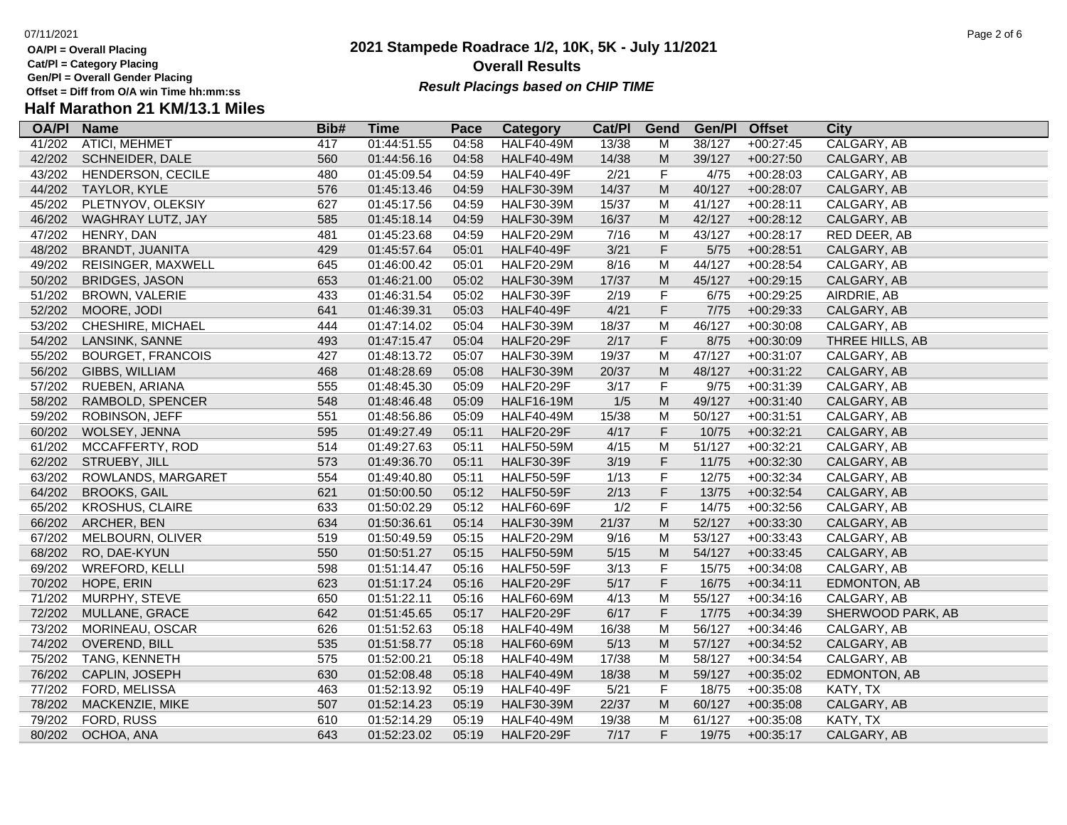**OA/Pl = Overall Placing Cat/Pl = Category Placing**

**Gen/Pl = Overall Gender Placing**

### **2021 Stampede Roadrace 1/2, 10K, 5K - July 11/2021** 07/11/2021 Page 2 of 6 **Overall Results** Gen/PI = Overall Gender Placing<br>Offset = Diff from O/A win Time hh:mm:ss *Result Placings based on CHIP TIME*

| <b>OA/PI</b> | <b>Name</b>              | Bib# | <b>Time</b> | Pace  | Category          | Cat/PI | Gend                                                                                                       | Gen/Pl | <b>Offset</b> | City              |
|--------------|--------------------------|------|-------------|-------|-------------------|--------|------------------------------------------------------------------------------------------------------------|--------|---------------|-------------------|
| 41/202       | <b>ATICI, MEHMET</b>     | 417  | 01:44:51.55 | 04:58 | <b>HALF40-49M</b> | 13/38  | M                                                                                                          | 38/127 | $+00:27:45$   | CALGARY, AB       |
| 42/202       | SCHNEIDER, DALE          | 560  | 01:44:56.16 | 04:58 | <b>HALF40-49M</b> | 14/38  | M                                                                                                          | 39/127 | $+00:27:50$   | CALGARY, AB       |
| 43/202       | HENDERSON, CECILE        | 480  | 01:45:09.54 | 04:59 | <b>HALF40-49F</b> | 2/21   | $\mathsf F$                                                                                                | 4/75   | $+00:28:03$   | CALGARY, AB       |
| 44/202       | TAYLOR, KYLE             | 576  | 01:45:13.46 | 04:59 | <b>HALF30-39M</b> | 14/37  | ${\sf M}$                                                                                                  | 40/127 | $+00:28:07$   | CALGARY, AB       |
| 45/202       | PLETNYOV, OLEKSIY        | 627  | 01:45:17.56 | 04:59 | <b>HALF30-39M</b> | 15/37  | M                                                                                                          | 41/127 | $+00:28:11$   | CALGARY, AB       |
| 46/202       | WAGHRAY LUTZ, JAY        | 585  | 01:45:18.14 | 04:59 | <b>HALF30-39M</b> | 16/37  | M                                                                                                          | 42/127 | $+00:28:12$   | CALGARY, AB       |
| 47/202       | HENRY, DAN               | 481  | 01:45:23.68 | 04:59 | <b>HALF20-29M</b> | 7/16   | M                                                                                                          | 43/127 | $+00:28:17$   | RED DEER, AB      |
| 48/202       | <b>BRANDT, JUANITA</b>   | 429  | 01:45:57.64 | 05:01 | <b>HALF40-49F</b> | 3/21   | F                                                                                                          | $5/75$ | $+00:28:51$   | CALGARY, AB       |
| 49/202       | REISINGER, MAXWELL       | 645  | 01:46:00.42 | 05:01 | <b>HALF20-29M</b> | 8/16   | M                                                                                                          | 44/127 | $+00:28:54$   | CALGARY, AB       |
| 50/202       | <b>BRIDGES, JASON</b>    | 653  | 01:46:21.00 | 05:02 | <b>HALF30-39M</b> | 17/37  | M                                                                                                          | 45/127 | $+00:29:15$   | CALGARY, AB       |
| 51/202       | <b>BROWN, VALERIE</b>    | 433  | 01:46:31.54 | 05:02 | <b>HALF30-39F</b> | 2/19   | $\mathsf F$                                                                                                | 6/75   | $+00:29:25$   | AIRDRIE, AB       |
| 52/202       | MOORE, JODI              | 641  | 01:46:39.31 | 05:03 | <b>HALF40-49F</b> | 4/21   | F                                                                                                          | 7/75   | $+00:29:33$   | CALGARY, AB       |
| 53/202       | CHESHIRE, MICHAEL        | 444  | 01:47:14.02 | 05:04 | <b>HALF30-39M</b> | 18/37  | M                                                                                                          | 46/127 | $+00:30:08$   | CALGARY, AB       |
| 54/202       | LANSINK, SANNE           | 493  | 01:47:15.47 | 05:04 | <b>HALF20-29F</b> | 2/17   | F                                                                                                          | 8/75   | $+00:30:09$   | THREE HILLS, AB   |
| 55/202       | <b>BOURGET, FRANCOIS</b> | 427  | 01:48:13.72 | 05:07 | <b>HALF30-39M</b> | 19/37  | M                                                                                                          | 47/127 | $+00:31:07$   | CALGARY, AB       |
| 56/202       | GIBBS, WILLIAM           | 468  | 01:48:28.69 | 05:08 | <b>HALF30-39M</b> | 20/37  | M                                                                                                          | 48/127 | $+00:31:22$   | CALGARY, AB       |
| 57/202       | RUEBEN, ARIANA           | 555  | 01:48:45.30 | 05:09 | <b>HALF20-29F</b> | 3/17   | $\mathsf F$                                                                                                | 9/75   | $+00:31:39$   | CALGARY, AB       |
| 58/202       | RAMBOLD, SPENCER         | 548  | 01:48:46.48 | 05:09 | <b>HALF16-19M</b> | 1/5    | ${\sf M}$                                                                                                  | 49/127 | $+00:31:40$   | CALGARY, AB       |
| 59/202       | ROBINSON, JEFF           | 551  | 01:48:56.86 | 05:09 | <b>HALF40-49M</b> | 15/38  | M                                                                                                          | 50/127 | $+00:31:51$   | CALGARY, AB       |
| 60/202       | WOLSEY, JENNA            | 595  | 01:49:27.49 | 05:11 | <b>HALF20-29F</b> | 4/17   | F                                                                                                          | 10/75  | $+00:32:21$   | CALGARY, AB       |
| 61/202       | MCCAFFERTY, ROD          | 514  | 01:49:27.63 | 05:11 | <b>HALF50-59M</b> | 4/15   | M                                                                                                          | 51/127 | $+00:32:21$   | CALGARY, AB       |
| 62/202       | STRUEBY, JILL            | 573  | 01:49:36.70 | 05:11 | <b>HALF30-39F</b> | 3/19   | $\mathsf F$                                                                                                | 11/75  | $+00:32:30$   | CALGARY, AB       |
| 63/202       | ROWLANDS, MARGARET       | 554  | 01:49:40.80 | 05:11 | <b>HALF50-59F</b> | 1/13   | F                                                                                                          | 12/75  | $+00:32:34$   | CALGARY, AB       |
| 64/202       | <b>BROOKS, GAIL</b>      | 621  | 01:50:00.50 | 05:12 | <b>HALF50-59F</b> | 2/13   | F                                                                                                          | 13/75  | $+00:32:54$   | CALGARY, AB       |
| 65/202       | <b>KROSHUS, CLAIRE</b>   | 633  | 01:50:02.29 | 05:12 | <b>HALF60-69F</b> | 1/2    | $\mathsf F$                                                                                                | 14/75  | $+00:32:56$   | CALGARY, AB       |
| 66/202       | ARCHER, BEN              | 634  | 01:50:36.61 | 05:14 | HALF30-39M        | 21/37  | $\mathsf{M}% _{T}=\mathsf{M}_{T}\!\left( a,b\right) ,\ \mathsf{M}_{T}=\mathsf{M}_{T}\!\left( a,b\right) ,$ | 52/127 | $+00:33:30$   | CALGARY, AB       |
| 67/202       | MELBOURN, OLIVER         | 519  | 01:50:49.59 | 05:15 | <b>HALF20-29M</b> | 9/16   | M                                                                                                          | 53/127 | $+00:33:43$   | CALGARY, AB       |
| 68/202       | RO, DAE-KYUN             | 550  | 01:50:51.27 | 05:15 | <b>HALF50-59M</b> | 5/15   | ${\sf M}$                                                                                                  | 54/127 | $+00:33:45$   | CALGARY, AB       |
| 69/202       | <b>WREFORD, KELLI</b>    | 598  | 01:51:14.47 | 05:16 | <b>HALF50-59F</b> | 3/13   | $\mathsf F$                                                                                                | 15/75  | $+00:34:08$   | CALGARY, AB       |
| 70/202       | HOPE, ERIN               | 623  | 01:51:17.24 | 05:16 | <b>HALF20-29F</b> | 5/17   | F                                                                                                          | 16/75  | $+00:34:11$   | EDMONTON, AB      |
| 71/202       | MURPHY, STEVE            | 650  | 01:51:22.11 | 05:16 | <b>HALF60-69M</b> | 4/13   | M                                                                                                          | 55/127 | $+00:34:16$   | CALGARY, AB       |
| 72/202       | MULLANE, GRACE           | 642  | 01:51:45.65 | 05:17 | <b>HALF20-29F</b> | 6/17   | F                                                                                                          | 17/75  | $+00:34:39$   | SHERWOOD PARK, AB |
| 73/202       | MORINEAU, OSCAR          | 626  | 01:51:52.63 | 05:18 | <b>HALF40-49M</b> | 16/38  | M                                                                                                          | 56/127 | $+00:34:46$   | CALGARY, AB       |
| 74/202       | OVEREND, BILL            | 535  | 01:51:58.77 | 05:18 | <b>HALF60-69M</b> | 5/13   | ${\sf M}$                                                                                                  | 57/127 | $+00:34:52$   | CALGARY, AB       |
| 75/202       | TANG, KENNETH            | 575  | 01:52:00.21 | 05:18 | <b>HALF40-49M</b> | 17/38  | M                                                                                                          | 58/127 | $+00:34:54$   | CALGARY, AB       |
| 76/202       | CAPLIN, JOSEPH           | 630  | 01:52:08.48 | 05:18 | <b>HALF40-49M</b> | 18/38  | M                                                                                                          | 59/127 | $+00:35:02$   | EDMONTON, AB      |
| 77/202       | FORD, MELISSA            | 463  | 01:52:13.92 | 05:19 | <b>HALF40-49F</b> | 5/21   | $\mathsf F$                                                                                                | 18/75  | $+00:35:08$   | KATY, TX          |
| 78/202       | MACKENZIE, MIKE          | 507  | 01:52:14.23 | 05:19 | <b>HALF30-39M</b> | 22/37  | M                                                                                                          | 60/127 | $+00:35:08$   | CALGARY, AB       |
| 79/202       | FORD, RUSS               | 610  | 01:52:14.29 | 05:19 | <b>HALF40-49M</b> | 19/38  | M                                                                                                          | 61/127 | $+00:35:08$   | KATY, TX          |
| 80/202       | OCHOA, ANA               | 643  | 01:52:23.02 | 05:19 | <b>HALF20-29F</b> | 7/17   | F.                                                                                                         | 19/75  | $+00:35:17$   | CALGARY, AB       |
|              |                          |      |             |       |                   |        |                                                                                                            |        |               |                   |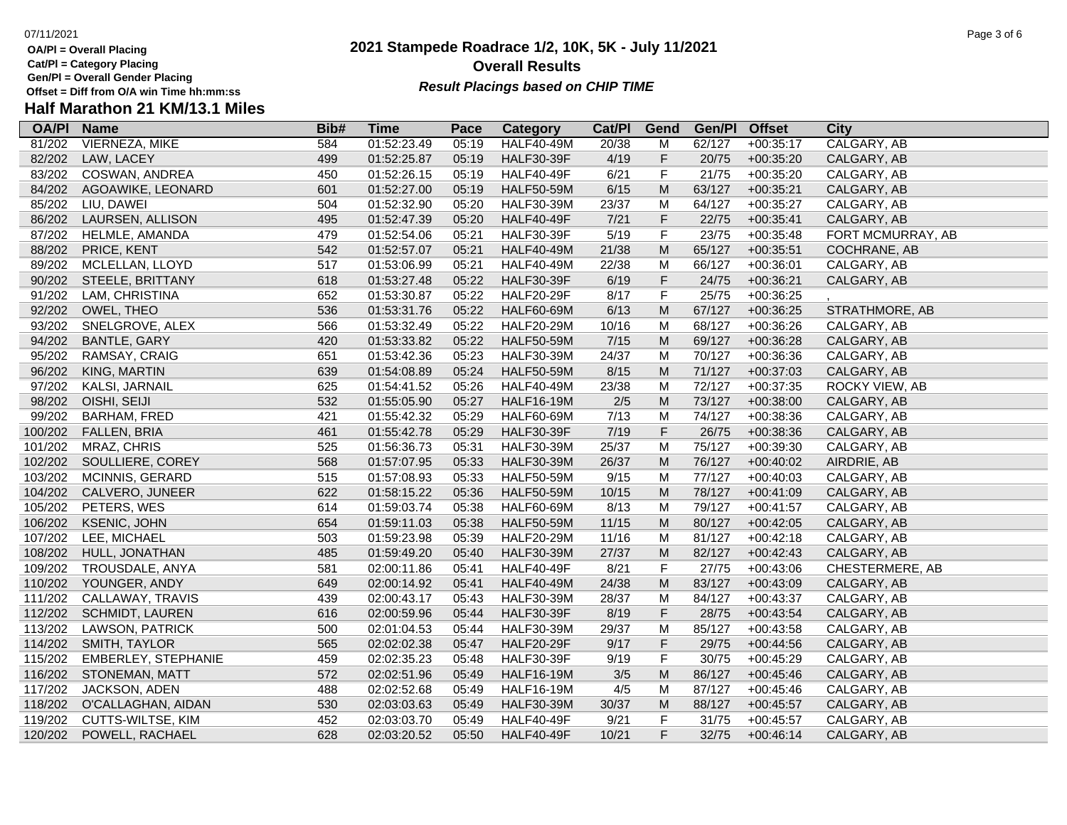- **OA/Pl = Overall Placing Cat/Pl = Category Placing**
- 
- **Gen/Pl = Overall Gender Placing**

### **2021 Stampede Roadrace 1/2, 10K, 5K - July 11/2021** 07/11/2021 Page 3 of 6 **Overall Results Result Placings based on CHIP TIME**

| <b>OA/PI</b> | <b>Name</b>            | Bib# | <b>Time</b> | Pace  | Category          | Cat/PI | Gend                                                                                                       | Gen/Pl | <b>Offset</b> | City               |
|--------------|------------------------|------|-------------|-------|-------------------|--------|------------------------------------------------------------------------------------------------------------|--------|---------------|--------------------|
| 81/202       | <b>VIERNEZA, MIKE</b>  | 584  | 01:52:23.49 | 05:19 | <b>HALF40-49M</b> | 20/38  | M                                                                                                          | 62/127 | $+00:35:17$   | <b>CALGARY, AB</b> |
| 82/202       | LAW, LACEY             | 499  | 01:52:25.87 | 05:19 | <b>HALF30-39F</b> | 4/19   | F                                                                                                          | 20/75  | $+00:35:20$   | CALGARY, AB        |
| 83/202       | COSWAN, ANDREA         | 450  | 01:52:26.15 | 05:19 | <b>HALF40-49F</b> | 6/21   | $\mathsf F$                                                                                                | 21/75  | $+00:35:20$   | CALGARY, AB        |
| 84/202       | AGOAWIKE, LEONARD      | 601  | 01:52:27.00 | 05:19 | <b>HALF50-59M</b> | 6/15   | $\mathsf{M}% _{T}=\mathsf{M}_{T}\!\left( a,b\right) ,\ \mathsf{M}_{T}=\mathsf{M}_{T}\!\left( a,b\right) ,$ | 63/127 | $+00:35:21$   | CALGARY, AB        |
| 85/202       | LIU, DAWEI             | 504  | 01:52:32.90 | 05:20 | <b>HALF30-39M</b> | 23/37  | M                                                                                                          | 64/127 | $+00:35:27$   | CALGARY, AB        |
| 86/202       | LAURSEN, ALLISON       | 495  | 01:52:47.39 | 05:20 | <b>HALF40-49F</b> | 7/21   | F                                                                                                          | 22/75  | $+00:35:41$   | CALGARY, AB        |
| 87/202       | HELMLE, AMANDA         | 479  | 01:52:54.06 | 05:21 | <b>HALF30-39F</b> | 5/19   | F                                                                                                          | 23/75  | $+00:35:48$   | FORT MCMURRAY, AB  |
| 88/202       | PRICE, KENT            | 542  | 01:52:57.07 | 05:21 | <b>HALF40-49M</b> | 21/38  | $\mathsf{M}% _{T}=\mathsf{M}_{T}\!\left( a,b\right) ,\ \mathsf{M}_{T}=\mathsf{M}_{T}\!\left( a,b\right) ,$ | 65/127 | $+00:35:51$   | COCHRANE, AB       |
| 89/202       | MCLELLAN, LLOYD        | 517  | 01:53:06.99 | 05:21 | <b>HALF40-49M</b> | 22/38  | M                                                                                                          | 66/127 | $+00:36:01$   | CALGARY, AB        |
| 90/202       | STEELE, BRITTANY       | 618  | 01:53:27.48 | 05:22 | <b>HALF30-39F</b> | 6/19   | F                                                                                                          | 24/75  | $+00:36:21$   | CALGARY, AB        |
| 91/202       | LAM, CHRISTINA         | 652  | 01:53:30.87 | 05:22 | <b>HALF20-29F</b> | 8/17   | F                                                                                                          | 25/75  | $+00:36:25$   |                    |
| 92/202       | OWEL, THEO             | 536  | 01:53:31.76 | 05:22 | <b>HALF60-69M</b> | 6/13   | M                                                                                                          | 67/127 | $+00:36:25$   | STRATHMORE, AB     |
| 93/202       | SNELGROVE, ALEX        | 566  | 01:53:32.49 | 05:22 | <b>HALF20-29M</b> | 10/16  | M                                                                                                          | 68/127 | $+00:36:26$   | CALGARY, AB        |
| 94/202       | <b>BANTLE, GARY</b>    | 420  | 01:53:33.82 | 05:22 | <b>HALF50-59M</b> | 7/15   | $\mathsf{M}% _{T}=\mathsf{M}_{T}\!\left( a,b\right) ,\ \mathsf{M}_{T}=\mathsf{M}_{T}\!\left( a,b\right) ,$ | 69/127 | $+00:36:28$   | CALGARY, AB        |
| 95/202       | RAMSAY, CRAIG          | 651  | 01:53:42.36 | 05:23 | <b>HALF30-39M</b> | 24/37  | M                                                                                                          | 70/127 | $+00:36:36$   | CALGARY, AB        |
| 96/202       | KING, MARTIN           | 639  | 01:54:08.89 | 05:24 | <b>HALF50-59M</b> | 8/15   | ${\sf M}$                                                                                                  | 71/127 | $+00:37:03$   | CALGARY, AB        |
| 97/202       | KALSI, JARNAIL         | 625  | 01:54:41.52 | 05:26 | <b>HALF40-49M</b> | 23/38  | M                                                                                                          | 72/127 | $+00:37:35$   | ROCKY VIEW, AB     |
| 98/202       | OISHI, SEIJI           | 532  | 01:55:05.90 | 05:27 | <b>HALF16-19M</b> | 2/5    | ${\sf M}$                                                                                                  | 73/127 | $+00:38:00$   | CALGARY, AB        |
| 99/202       | <b>BARHAM, FRED</b>    | 421  | 01:55:42.32 | 05:29 | <b>HALF60-69M</b> | 7/13   | M                                                                                                          | 74/127 | $+00:38:36$   | CALGARY, AB        |
| 100/202      | FALLEN, BRIA           | 461  | 01:55:42.78 | 05:29 | <b>HALF30-39F</b> | 7/19   | F                                                                                                          | 26/75  | $+00:38:36$   | CALGARY, AB        |
| 101/202      | MRAZ, CHRIS            | 525  | 01:56:36.73 | 05:31 | <b>HALF30-39M</b> | 25/37  | M                                                                                                          | 75/127 | $+00:39:30$   | CALGARY, AB        |
| 102/202      | SOULLIERE, COREY       | 568  | 01:57:07.95 | 05:33 | <b>HALF30-39M</b> | 26/37  | ${\sf M}$                                                                                                  | 76/127 | $+00:40:02$   | AIRDRIE, AB        |
| 103/202      | MCINNIS, GERARD        | 515  | 01:57:08.93 | 05:33 | <b>HALF50-59M</b> | 9/15   | M                                                                                                          | 77/127 | $+00:40:03$   | CALGARY, AB        |
| 104/202      | CALVERO, JUNEER        | 622  | 01:58:15.22 | 05:36 | <b>HALF50-59M</b> | 10/15  | M                                                                                                          | 78/127 | $+00:41:09$   | CALGARY, AB        |
| 105/202      | PETERS, WES            | 614  | 01:59:03.74 | 05:38 | <b>HALF60-69M</b> | 8/13   | M                                                                                                          | 79/127 | $+00:41:57$   | CALGARY, AB        |
| 106/202      | <b>KSENIC, JOHN</b>    | 654  | 01:59:11.03 | 05:38 | <b>HALF50-59M</b> | 11/15  | $\mathsf{M}% _{T}=\mathsf{M}_{T}\!\left( a,b\right) ,\ \mathsf{M}_{T}=\mathsf{M}_{T}\!\left( a,b\right) ,$ | 80/127 | $+00:42:05$   | CALGARY, AB        |
| 107/202      | LEE, MICHAEL           | 503  | 01:59:23.98 | 05:39 | <b>HALF20-29M</b> | 11/16  | M                                                                                                          | 81/127 | $+00:42:18$   | CALGARY, AB        |
| 108/202      | HULL, JONATHAN         | 485  | 01:59:49.20 | 05:40 | <b>HALF30-39M</b> | 27/37  | ${\sf M}$                                                                                                  | 82/127 | $+00:42:43$   | CALGARY, AB        |
| 109/202      | TROUSDALE, ANYA        | 581  | 02:00:11.86 | 05:41 | HALF40-49F        | 8/21   | F                                                                                                          | 27/75  | $+00:43:06$   | CHESTERMERE, AB    |
| 110/202      | YOUNGER, ANDY          | 649  | 02:00:14.92 | 05:41 | <b>HALF40-49M</b> | 24/38  | $\mathsf{M}% _{T}=\mathsf{M}_{T}\!\left( a,b\right) ,\ \mathsf{M}_{T}=\mathsf{M}_{T}\!\left( a,b\right) ,$ | 83/127 | $+00:43:09$   | CALGARY, AB        |
| 111/202      | CALLAWAY, TRAVIS       | 439  | 02:00:43.17 | 05:43 | <b>HALF30-39M</b> | 28/37  | M                                                                                                          | 84/127 | $+00:43:37$   | CALGARY, AB        |
| 112/202      | <b>SCHMIDT, LAUREN</b> | 616  | 02:00:59.96 | 05:44 | <b>HALF30-39F</b> | 8/19   | F                                                                                                          | 28/75  | $+00:43:54$   | CALGARY, AB        |
| 113/202      | <b>LAWSON, PATRICK</b> | 500  | 02:01:04.53 | 05:44 | <b>HALF30-39M</b> | 29/37  | M                                                                                                          | 85/127 | $+00:43:58$   | CALGARY, AB        |
| 114/202      | SMITH, TAYLOR          | 565  | 02:02:02.38 | 05:47 | <b>HALF20-29F</b> | 9/17   | F                                                                                                          | 29/75  | $+00:44:56$   | CALGARY, AB        |
| 115/202      | EMBERLEY, STEPHANIE    | 459  | 02:02:35.23 | 05:48 | <b>HALF30-39F</b> | 9/19   | F                                                                                                          | 30/75  | $+00:45:29$   | CALGARY, AB        |
| 116/202      | STONEMAN, MATT         | 572  | 02:02:51.96 | 05:49 | <b>HALF16-19M</b> | 3/5    | $\mathsf{M}% _{T}=\mathsf{M}_{T}\!\left( a,b\right) ,\ \mathsf{M}_{T}=\mathsf{M}_{T}\!\left( a,b\right) ,$ | 86/127 | $+00:45:46$   | CALGARY, AB        |
| 117/202      | <b>JACKSON, ADEN</b>   | 488  | 02:02:52.68 | 05:49 | <b>HALF16-19M</b> | 4/5    | M                                                                                                          | 87/127 | $+00:45:46$   | CALGARY, AB        |
| 118/202      | O'CALLAGHAN, AIDAN     | 530  | 02:03:03.63 | 05:49 | <b>HALF30-39M</b> | 30/37  | M                                                                                                          | 88/127 | $+00:45:57$   | CALGARY, AB        |
| 119/202      | CUTTS-WILTSE, KIM      | 452  | 02:03:03.70 | 05:49 | <b>HALF40-49F</b> | 9/21   | F                                                                                                          | 31/75  | $+00:45:57$   | CALGARY, AB        |
| 120/202      | POWELL, RACHAEL        | 628  | 02:03:20.52 | 05:50 | <b>HALF40-49F</b> | 10/21  | F                                                                                                          | 32/75  | $+00:46:14$   | CALGARY, AB        |
|              |                        |      |             |       |                   |        |                                                                                                            |        |               |                    |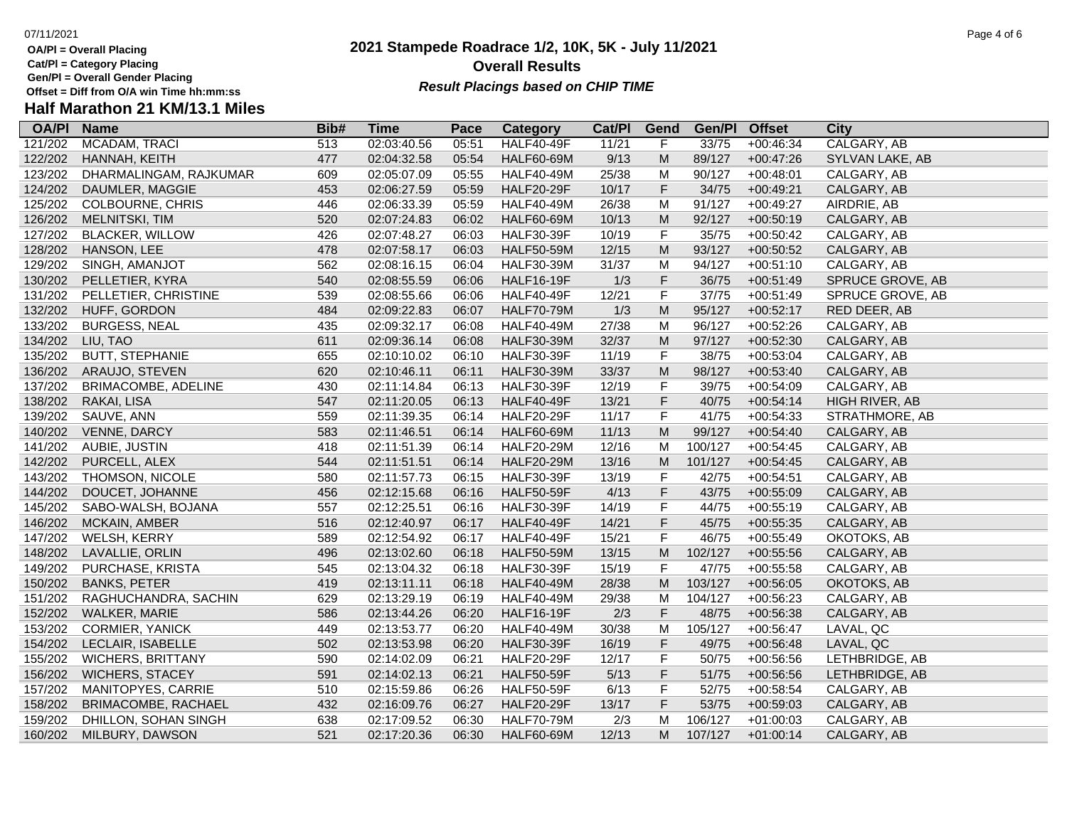**OA/Pl = Overall Placing Cat/Pl = Category Placing**

**Gen/Pl = Overall Gender Placing**

### **2021 Stampede Roadrace 1/2, 10K, 5K - July 11/2021** 07/11/2021 Page 4 of 6 **Overall Results Result Placings based on CHIP TIME**

| <b>OA/PI</b> | <b>Name</b>              | Bib# | Time        | Pace  | Category          | Cat/PI | Gend                                                                                                       | Gen/Pl  | <b>Offset</b> | City               |
|--------------|--------------------------|------|-------------|-------|-------------------|--------|------------------------------------------------------------------------------------------------------------|---------|---------------|--------------------|
| 121/202      | MCADAM, TRACI            | 513  | 02:03:40.56 | 05:51 | <b>HALF40-49F</b> | 11/21  | F                                                                                                          | 33/75   | $+00:46:34$   | <b>CALGARY, AB</b> |
| 122/202      | HANNAH, KEITH            | 477  | 02:04:32.58 | 05:54 | <b>HALF60-69M</b> | 9/13   | M                                                                                                          | 89/127  | $+00:47:26$   | SYLVAN LAKE, AB    |
| 123/202      | DHARMALINGAM, RAJKUMAR   | 609  | 02:05:07.09 | 05:55 | <b>HALF40-49M</b> | 25/38  | M                                                                                                          | 90/127  | $+00:48:01$   | CALGARY, AB        |
| 124/202      | DAUMLER, MAGGIE          | 453  | 02:06:27.59 | 05:59 | <b>HALF20-29F</b> | 10/17  | $\mathsf F$                                                                                                | 34/75   | $+00:49:21$   | CALGARY, AB        |
| 125/202      | <b>COLBOURNE, CHRIS</b>  | 446  | 02:06:33.39 | 05:59 | <b>HALF40-49M</b> | 26/38  | M                                                                                                          | 91/127  | +00:49:27     | AIRDRIE, AB        |
| 126/202      | <b>MELNITSKI, TIM</b>    | 520  | 02:07:24.83 | 06:02 | <b>HALF60-69M</b> | 10/13  | ${\sf M}$                                                                                                  | 92/127  | $+00:50:19$   | CALGARY, AB        |
| 127/202      | <b>BLACKER, WILLOW</b>   | 426  | 02:07:48.27 | 06:03 | <b>HALF30-39F</b> | 10/19  | F                                                                                                          | 35/75   | $+00:50:42$   | CALGARY, AB        |
| 128/202      | HANSON, LEE              | 478  | 02:07:58.17 | 06:03 | <b>HALF50-59M</b> | 12/15  | $\mathsf{M}% _{T}=\mathsf{M}_{T}\!\left( a,b\right) ,\ \mathsf{M}_{T}=\mathsf{M}_{T}\!\left( a,b\right) ,$ | 93/127  | $+00:50:52$   | CALGARY, AB        |
| 129/202      | SINGH, AMANJOT           | 562  | 02:08:16.15 | 06:04 | <b>HALF30-39M</b> | 31/37  | M                                                                                                          | 94/127  | $+00:51:10$   | CALGARY, AB        |
| 130/202      | PELLETIER, KYRA          | 540  | 02:08:55.59 | 06:06 | <b>HALF16-19F</b> | 1/3    | $\mathsf F$                                                                                                | 36/75   | $+00:51:49$   | SPRUCE GROVE, AB   |
| 131/202      | PELLETIER, CHRISTINE     | 539  | 02:08:55.66 | 06:06 | <b>HALF40-49F</b> | 12/21  | F                                                                                                          | 37/75   | $+00:51:49$   | SPRUCE GROVE, AB   |
| 132/202      | HUFF, GORDON             | 484  | 02:09:22.83 | 06:07 | <b>HALF70-79M</b> | 1/3    | ${\sf M}$                                                                                                  | 95/127  | $+00:52:17$   | RED DEER, AB       |
| 133/202      | <b>BURGESS, NEAL</b>     | 435  | 02:09:32.17 | 06:08 | <b>HALF40-49M</b> | 27/38  | M                                                                                                          | 96/127  | $+00:52:26$   | CALGARY, AB        |
| 134/202      | LIU, TAO                 | 611  | 02:09:36.14 | 06:08 | <b>HALF30-39M</b> | 32/37  | ${\sf M}$                                                                                                  | 97/127  | $+00:52:30$   | CALGARY, AB        |
| 135/202      | <b>BUTT, STEPHANIE</b>   | 655  | 02:10:10.02 | 06:10 | <b>HALF30-39F</b> | 11/19  | F                                                                                                          | 38/75   | $+00:53:04$   | CALGARY, AB        |
| 136/202      | ARAUJO, STEVEN           | 620  | 02:10:46.11 | 06:11 | <b>HALF30-39M</b> | 33/37  | $\mathsf{M}% _{T}=\mathsf{M}_{T}\!\left( a,b\right) ,\ \mathsf{M}_{T}=\mathsf{M}_{T}\!\left( a,b\right) ,$ | 98/127  | $+00:53:40$   | CALGARY, AB        |
| 137/202      | BRIMACOMBE, ADELINE      | 430  | 02:11:14.84 | 06:13 | <b>HALF30-39F</b> | 12/19  | F                                                                                                          | 39/75   | $+00:54:09$   | CALGARY, AB        |
| 138/202      | RAKAI, LISA              | 547  | 02:11:20.05 | 06:13 | <b>HALF40-49F</b> | 13/21  | F                                                                                                          | 40/75   | $+00:54:14$   | HIGH RIVER, AB     |
| 139/202      | SAUVE, ANN               | 559  | 02:11:39.35 | 06:14 | <b>HALF20-29F</b> | 11/17  | F                                                                                                          | 41/75   | $+00:54:33$   | STRATHMORE, AB     |
| 140/202      | VENNE, DARCY             | 583  | 02:11:46.51 | 06:14 | <b>HALF60-69M</b> | 11/13  | $\mathsf{M}% _{T}=\mathsf{M}_{T}\!\left( a,b\right) ,\ \mathsf{M}_{T}=\mathsf{M}_{T}\!\left( a,b\right) ,$ | 99/127  | $+00:54:40$   | CALGARY, AB        |
| 141/202      | AUBIE, JUSTIN            | 418  | 02:11:51.39 | 06:14 | <b>HALF20-29M</b> | 12/16  | M                                                                                                          | 100/127 | $+00:54:45$   | CALGARY, AB        |
| 142/202      | PURCELL, ALEX            | 544  | 02:11:51.51 | 06:14 | <b>HALF20-29M</b> | 13/16  | M                                                                                                          | 101/127 | $+00:54:45$   | CALGARY, AB        |
| 143/202      | THOMSON, NICOLE          | 580  | 02:11:57.73 | 06:15 | <b>HALF30-39F</b> | 13/19  | F                                                                                                          | 42/75   | $+00:54:51$   | CALGARY, AB        |
| 144/202      | DOUCET, JOHANNE          | 456  | 02:12:15.68 | 06:16 | <b>HALF50-59F</b> | 4/13   | F                                                                                                          | 43/75   | $+00:55:09$   | CALGARY, AB        |
| 145/202      | SABO-WALSH, BOJANA       | 557  | 02:12:25.51 | 06:16 | <b>HALF30-39F</b> | 14/19  | F                                                                                                          | 44/75   | $+00:55:19$   | CALGARY, AB        |
| 146/202      | MCKAIN, AMBER            | 516  | 02:12:40.97 | 06:17 | <b>HALF40-49F</b> | 14/21  | F                                                                                                          | 45/75   | $+00:55:35$   | CALGARY, AB        |
| 147/202      | WELSH, KERRY             | 589  | 02:12:54.92 | 06:17 | <b>HALF40-49F</b> | 15/21  | F                                                                                                          | 46/75   | $+00:55:49$   | OKOTOKS, AB        |
| 148/202      | LAVALLIE, ORLIN          | 496  | 02:13:02.60 | 06:18 | <b>HALF50-59M</b> | 13/15  | M                                                                                                          | 102/127 | $+00:55:56$   | CALGARY, AB        |
| 149/202      | PURCHASE, KRISTA         | 545  | 02:13:04.32 | 06:18 | <b>HALF30-39F</b> | 15/19  | F                                                                                                          | 47/75   | $+00:55:58$   | CALGARY, AB        |
| 150/202      | <b>BANKS, PETER</b>      | 419  | 02:13:11.11 | 06:18 | <b>HALF40-49M</b> | 28/38  | ${\sf M}$                                                                                                  | 103/127 | $+00:56:05$   | OKOTOKS, AB        |
| 151/202      | RAGHUCHANDRA, SACHIN     | 629  | 02:13:29.19 | 06:19 | <b>HALF40-49M</b> | 29/38  | M                                                                                                          | 104/127 | $+00:56:23$   | CALGARY, AB        |
| 152/202      | WALKER, MARIE            | 586  | 02:13:44.26 | 06:20 | <b>HALF16-19F</b> | 2/3    | F                                                                                                          | 48/75   | $+00:56:38$   | CALGARY, AB        |
| 153/202      | <b>CORMIER, YANICK</b>   | 449  | 02:13:53.77 | 06:20 | <b>HALF40-49M</b> | 30/38  | M                                                                                                          | 105/127 | $+00:56:47$   | LAVAL, QC          |
| 154/202      | LECLAIR, ISABELLE        | 502  | 02:13:53.98 | 06:20 | <b>HALF30-39F</b> | 16/19  | F                                                                                                          | 49/75   | $+00:56:48$   | LAVAL, QC          |
| 155/202      | <b>WICHERS, BRITTANY</b> | 590  | 02:14:02.09 | 06:21 | <b>HALF20-29F</b> | 12/17  | F                                                                                                          | 50/75   | $+00:56:56$   | LETHBRIDGE, AB     |
| 156/202      | <b>WICHERS, STACEY</b>   | 591  | 02:14:02.13 | 06:21 | <b>HALF50-59F</b> | 5/13   | F                                                                                                          | 51/75   | $+00:56:56$   | LETHBRIDGE, AB     |
| 157/202      | MANITOPYES, CARRIE       | 510  | 02:15:59.86 | 06:26 | <b>HALF50-59F</b> | 6/13   | F                                                                                                          | 52/75   | $+00:58:54$   | CALGARY, AB        |
| 158/202      | BRIMACOMBE, RACHAEL      | 432  | 02:16:09.76 | 06:27 | <b>HALF20-29F</b> | 13/17  | F                                                                                                          | 53/75   | $+00:59:03$   | CALGARY, AB        |
| 159/202      | DHILLON, SOHAN SINGH     | 638  | 02:17:09.52 | 06:30 | <b>HALF70-79M</b> | 2/3    | M                                                                                                          | 106/127 | $+01:00:03$   | CALGARY, AB        |
| 160/202      | MILBURY, DAWSON          | 521  | 02:17:20.36 | 06:30 | HALF60-69M        | 12/13  | M                                                                                                          | 107/127 | $+01:00:14$   | CALGARY, AB        |
|              |                          |      |             |       |                   |        |                                                                                                            |         |               |                    |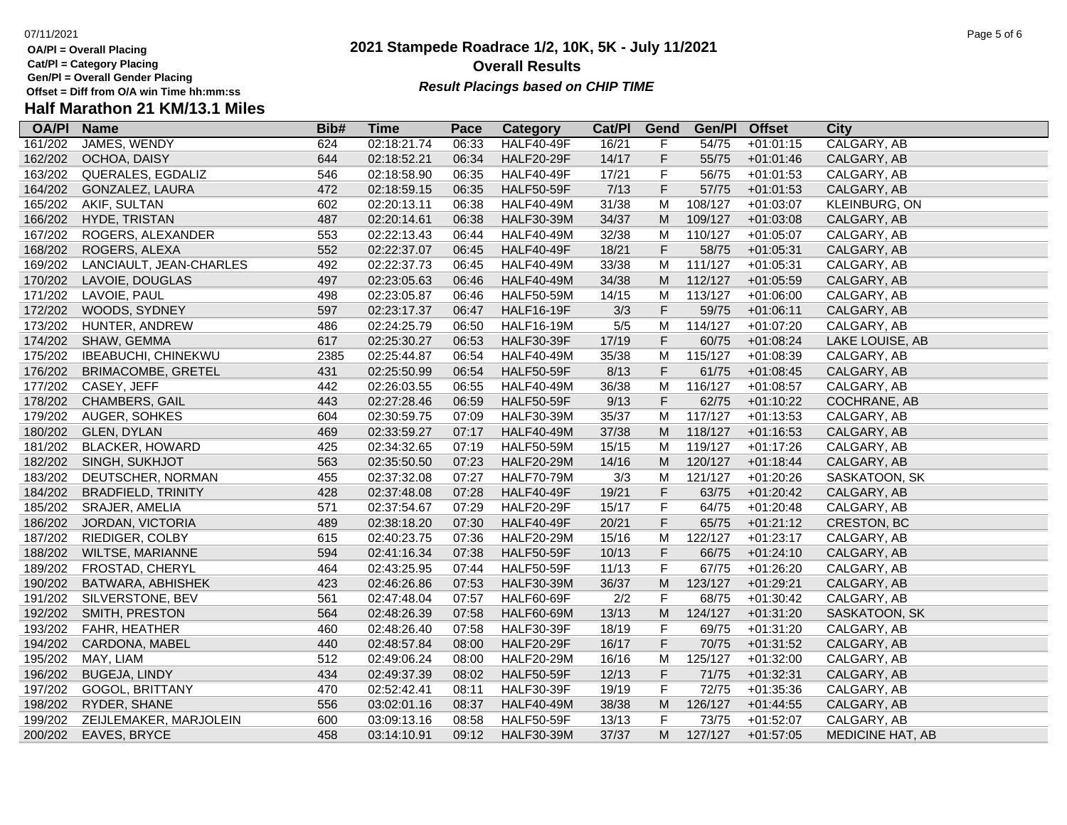**OA/Pl = Overall Placing Cat/Pl = Category Placing**

**Gen/Pl = Overall Gender Placing**

### **2021 Stampede Roadrace 1/2, 10K, 5K - July 11/2021** 07/11/2021 Page 5 of 6 **Overall Results Result Placings based on CHIP TIME**

| <b>OA/PI</b> | <b>Name</b>                | Bib# | Time        | Pace  | Category          | Cat/PI | Gend                                                                                                       | Gen/Pl  | <b>Offset</b> | City                    |
|--------------|----------------------------|------|-------------|-------|-------------------|--------|------------------------------------------------------------------------------------------------------------|---------|---------------|-------------------------|
| 161/202      | JAMES, WENDY               | 624  | 02:18:21.74 | 06:33 | <b>HALF40-49F</b> | 16/21  | F                                                                                                          | 54/75   | $+01:01:15$   | CALGARY, AB             |
| 162/202      | OCHOA, DAISY               | 644  | 02:18:52.21 | 06:34 | <b>HALF20-29F</b> | 14/17  | F                                                                                                          | 55/75   | $+01:01:46$   | CALGARY, AB             |
| 163/202      | QUERALES, EGDALIZ          | 546  | 02:18:58.90 | 06:35 | <b>HALF40-49F</b> | 17/21  | $\mathsf F$                                                                                                | 56/75   | $+01:01:53$   | CALGARY, AB             |
| 164/202      | <b>GONZALEZ, LAURA</b>     | 472  | 02:18:59.15 | 06:35 | <b>HALF50-59F</b> | 7/13   | $\mathsf F$                                                                                                | 57/75   | $+01:01:53$   | CALGARY, AB             |
| 165/202      | AKIF, SULTAN               | 602  | 02:20:13.11 | 06:38 | <b>HALF40-49M</b> | 31/38  | M                                                                                                          | 108/127 | $+01:03:07$   | KLEINBURG, ON           |
| 166/202      | HYDE, TRISTAN              | 487  | 02:20:14.61 | 06:38 | <b>HALF30-39M</b> | 34/37  | M                                                                                                          | 109/127 | $+01:03:08$   | CALGARY, AB             |
| 167/202      | ROGERS, ALEXANDER          | 553  | 02:22:13.43 | 06:44 | <b>HALF40-49M</b> | 32/38  | M                                                                                                          | 110/127 | $+01:05:07$   | CALGARY, AB             |
| 168/202      | ROGERS, ALEXA              | 552  | 02:22:37.07 | 06:45 | <b>HALF40-49F</b> | 18/21  | F                                                                                                          | 58/75   | $+01:05:31$   | CALGARY, AB             |
| 169/202      | LANCIAULT, JEAN-CHARLES    | 492  | 02:22:37.73 | 06:45 | <b>HALF40-49M</b> | 33/38  | м                                                                                                          | 111/127 | $+01:05:31$   | CALGARY, AB             |
| 170/202      | LAVOIE, DOUGLAS            | 497  | 02:23:05.63 | 06:46 | <b>HALF40-49M</b> | 34/38  | M                                                                                                          | 112/127 | $+01:05:59$   | CALGARY, AB             |
| 171/202      | LAVOIE, PAUL               | 498  | 02:23:05.87 | 06:46 | <b>HALF50-59M</b> | 14/15  | M                                                                                                          | 113/127 | $+01:06:00$   | CALGARY, AB             |
| 172/202      | WOODS, SYDNEY              | 597  | 02:23:17.37 | 06:47 | <b>HALF16-19F</b> | 3/3    | F                                                                                                          | 59/75   | $+01:06:11$   | CALGARY, AB             |
| 173/202      | HUNTER, ANDREW             | 486  | 02:24:25.79 | 06:50 | <b>HALF16-19M</b> | 5/5    | M                                                                                                          | 114/127 | $+01:07:20$   | CALGARY, AB             |
| 174/202      | SHAW, GEMMA                | 617  | 02:25:30.27 | 06:53 | <b>HALF30-39F</b> | 17/19  | F                                                                                                          | 60/75   | $+01:08:24$   | LAKE LOUISE, AB         |
| 175/202      | <b>IBEABUCHI, CHINEKWU</b> | 2385 | 02:25:44.87 | 06:54 | <b>HALF40-49M</b> | 35/38  | M                                                                                                          | 115/127 | $+01:08:39$   | CALGARY, AB             |
| 176/202      | <b>BRIMACOMBE, GRETEL</b>  | 431  | 02:25:50.99 | 06:54 | <b>HALF50-59F</b> | 8/13   | $\mathsf F$                                                                                                | 61/75   | $+01:08:45$   | CALGARY, AB             |
| 177/202      | CASEY, JEFF                | 442  | 02:26:03.55 | 06:55 | <b>HALF40-49M</b> | 36/38  | M                                                                                                          | 116/127 | $+01:08:57$   | CALGARY, AB             |
| 178/202      | CHAMBERS, GAIL             | 443  | 02:27:28.46 | 06:59 | <b>HALF50-59F</b> | 9/13   | F                                                                                                          | 62/75   | $+01:10:22$   | COCHRANE, AB            |
| 179/202      | AUGER, SOHKES              | 604  | 02:30:59.75 | 07:09 | <b>HALF30-39M</b> | 35/37  | M                                                                                                          | 117/127 | $+01:13:53$   | CALGARY, AB             |
| 180/202      | GLEN, DYLAN                | 469  | 02:33:59.27 | 07:17 | <b>HALF40-49M</b> | 37/38  | M                                                                                                          | 118/127 | $+01:16:53$   | CALGARY, AB             |
| 181/202      | <b>BLACKER, HOWARD</b>     | 425  | 02:34:32.65 | 07:19 | <b>HALF50-59M</b> | 15/15  | M                                                                                                          | 119/127 | $+01:17:26$   | CALGARY, AB             |
| 182/202      | SINGH, SUKHJOT             | 563  | 02:35:50.50 | 07:23 | <b>HALF20-29M</b> | 14/16  | M                                                                                                          | 120/127 | $+01:18:44$   | CALGARY, AB             |
| 183/202      | DEUTSCHER, NORMAN          | 455  | 02:37:32.08 | 07:27 | <b>HALF70-79M</b> | 3/3    | M                                                                                                          | 121/127 | $+01:20:26$   | SASKATOON, SK           |
| 184/202      | <b>BRADFIELD, TRINITY</b>  | 428  | 02:37:48.08 | 07:28 | HALF40-49F        | 19/21  | F                                                                                                          | 63/75   | $+01:20:42$   | CALGARY, AB             |
| 185/202      | SRAJER, AMELIA             | 571  | 02:37:54.67 | 07:29 | <b>HALF20-29F</b> | 15/17  | F                                                                                                          | 64/75   | $+01:20:48$   | CALGARY, AB             |
| 186/202      | JORDAN, VICTORIA           | 489  | 02:38:18.20 | 07:30 | <b>HALF40-49F</b> | 20/21  | F                                                                                                          | 65/75   | $+01:21:12$   | <b>CRESTON, BC</b>      |
| 187/202      | RIEDIGER, COLBY            | 615  | 02:40:23.75 | 07:36 | <b>HALF20-29M</b> | 15/16  | M                                                                                                          | 122/127 | $+01:23:17$   | CALGARY, AB             |
| 188/202      | WILTSE, MARIANNE           | 594  | 02:41:16.34 | 07:38 | <b>HALF50-59F</b> | 10/13  | $\mathsf F$                                                                                                | 66/75   | $+01:24:10$   | CALGARY, AB             |
| 189/202      | FROSTAD, CHERYL            | 464  | 02:43:25.95 | 07:44 | <b>HALF50-59F</b> | 11/13  | F                                                                                                          | 67/75   | $+01:26:20$   | CALGARY, AB             |
| 190/202      | BATWARA, ABHISHEK          | 423  | 02:46:26.86 | 07:53 | <b>HALF30-39M</b> | 36/37  | M                                                                                                          | 123/127 | $+01:29:21$   | CALGARY, AB             |
| 191/202      | SILVERSTONE, BEV           | 561  | 02:47:48.04 | 07:57 | <b>HALF60-69F</b> | 2/2    | $\mathsf F$                                                                                                | 68/75   | $+01:30:42$   | CALGARY, AB             |
| 192/202      | SMITH, PRESTON             | 564  | 02:48:26.39 | 07:58 | <b>HALF60-69M</b> | 13/13  | $\mathsf{M}% _{T}=\mathsf{M}_{T}\!\left( a,b\right) ,\ \mathsf{M}_{T}=\mathsf{M}_{T}\!\left( a,b\right) ,$ | 124/127 | $+01:31:20$   | SASKATOON, SK           |
| 193/202      | FAHR, HEATHER              | 460  | 02:48:26.40 | 07:58 | <b>HALF30-39F</b> | 18/19  | F                                                                                                          | 69/75   | $+01:31:20$   | CALGARY, AB             |
| 194/202      | CARDONA, MABEL             | 440  | 02:48:57.84 | 08:00 | <b>HALF20-29F</b> | 16/17  | F                                                                                                          | 70/75   | $+01:31:52$   | CALGARY, AB             |
| 195/202      | MAY, LIAM                  | 512  | 02:49:06.24 | 08:00 | <b>HALF20-29M</b> | 16/16  | М                                                                                                          | 125/127 | $+01:32:00$   | CALGARY, AB             |
| 196/202      | <b>BUGEJA, LINDY</b>       | 434  | 02:49:37.39 | 08:02 | <b>HALF50-59F</b> | 12/13  | F                                                                                                          | 71/75   | $+01:32:31$   | CALGARY, AB             |
| 197/202      | GOGOL, BRITTANY            | 470  | 02:52:42.41 | 08:11 | <b>HALF30-39F</b> | 19/19  | F                                                                                                          | 72/75   | $+01:35:36$   | CALGARY, AB             |
| 198/202      | RYDER, SHANE               | 556  | 03:02:01.16 | 08:37 | <b>HALF40-49M</b> | 38/38  | M                                                                                                          | 126/127 | $+01:44:55$   | CALGARY, AB             |
| 199/202      | ZEIJLEMAKER, MARJOLEIN     | 600  | 03:09:13.16 | 08:58 | <b>HALF50-59F</b> | 13/13  | F                                                                                                          | 73/75   | $+01:52:07$   | CALGARY, AB             |
| 200/202      | EAVES, BRYCE               | 458  | 03:14:10.91 | 09:12 | <b>HALF30-39M</b> | 37/37  | M                                                                                                          | 127/127 | $+01:57:05$   | <b>MEDICINE HAT, AB</b> |
|              |                            |      |             |       |                   |        |                                                                                                            |         |               |                         |